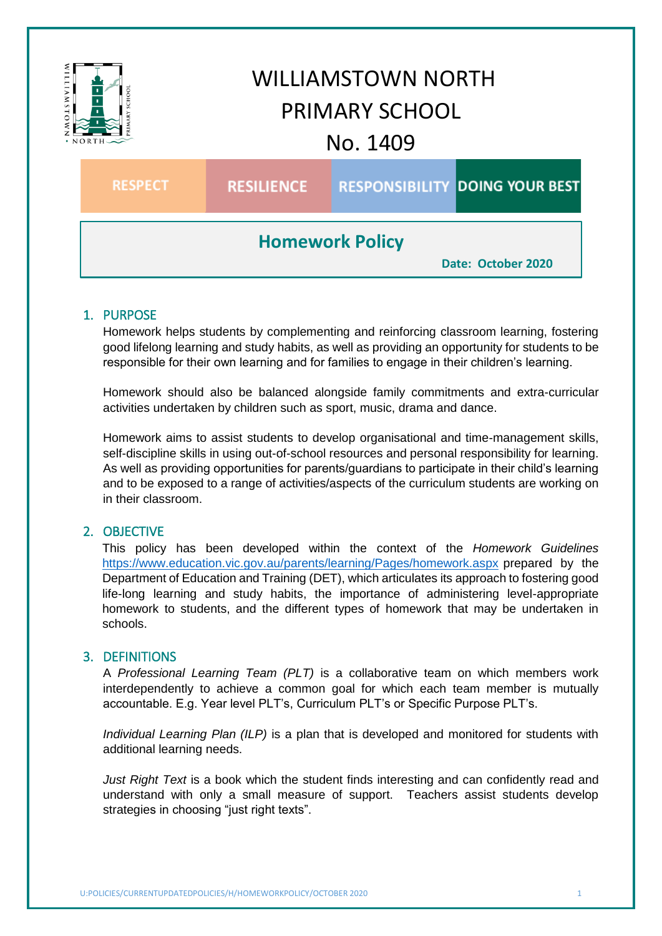

## 1. PURPOSE

Homework helps students by complementing and reinforcing classroom learning, fostering good lifelong learning and study habits, as well as providing an opportunity for students to be responsible for their own learning and for families to engage in their children's learning.

Homework should also be balanced alongside family commitments and extra-curricular activities undertaken by children such as sport, music, drama and dance.

Homework aims to assist students to develop organisational and time-management skills, self-discipline skills in using out-of-school resources and personal responsibility for learning. As well as providing opportunities for parents/guardians to participate in their child's learning and to be exposed to a range of activities/aspects of the curriculum students are working on in their classroom.

### 2. OBJECTIVE

This policy has been developed within the context of the *Homework Guidelines* <https://www.education.vic.gov.au/parents/learning/Pages/homework.aspx> prepared by the Department of Education and Training (DET), which articulates its approach to fostering good life-long learning and study habits, the importance of administering level-appropriate homework to students, and the different types of homework that may be undertaken in schools.

#### 3. DEFINITIONS

A *Professional Learning Team (PLT)* is a collaborative team on which members work interdependently to achieve a common goal for which each team member is mutually accountable. E.g. Year level PLT's, Curriculum PLT's or Specific Purpose PLT's.

*Individual Learning Plan (ILP)* is a plan that is developed and monitored for students with additional learning needs.

*Just Right Text* is a book which the student finds interesting and can confidently read and understand with only a small measure of support. Teachers assist students develop strategies in choosing "just right texts".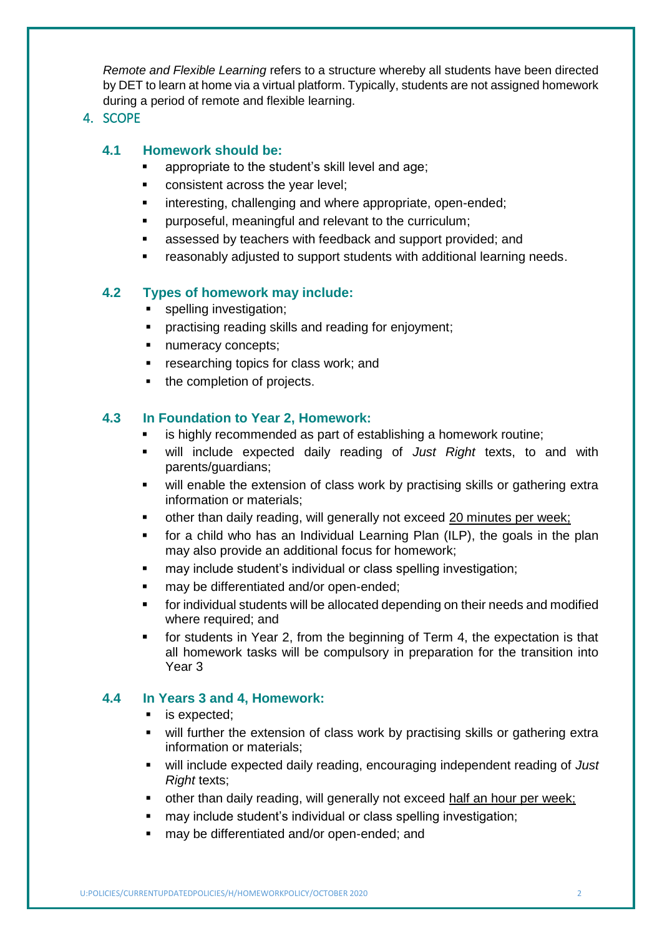*Remote and Flexible Learning* refers to a structure whereby all students have been directed by DET to learn at home via a virtual platform. Typically, students are not assigned homework during a period of remote and flexible learning.

## 4. SCOPE

## **4.1 Homework should be:**

- **EXEDENT** appropriate to the student's skill level and age:
- **EXECONS** consistent across the year level;
- interesting, challenging and where appropriate, open-ended;
- **•** purposeful, meaningful and relevant to the curriculum;
- **EXEC** assessed by teachers with feedback and support provided; and
- reasonably adjusted to support students with additional learning needs.

### **4.2 Types of homework may include:**

- spelling investigation;
- **Peractising reading skills and reading for enjoyment;**
- **numeracy concepts;**
- **F** researching topics for class work; and
- the completion of projects.

### **4.3 In Foundation to Year 2, Homework:**

- is highly recommended as part of establishing a homework routine;
- will include expected daily reading of *Just Right* texts, to and with parents/guardians;
- will enable the extension of class work by practising skills or gathering extra information or materials;
- other than daily reading, will generally not exceed 20 minutes per week;
- for a child who has an Individual Learning Plan (ILP), the goals in the plan may also provide an additional focus for homework;
- may include student's individual or class spelling investigation;
- may be differentiated and/or open-ended;
- for individual students will be allocated depending on their needs and modified where required; and
- for students in Year 2, from the beginning of Term 4, the expectation is that all homework tasks will be compulsory in preparation for the transition into Year 3

### **4.4 In Years 3 and 4, Homework:**

- **is expected;**
- will further the extension of class work by practising skills or gathering extra information or materials;
- will include expected daily reading, encouraging independent reading of *Just Right* texts;
- other than daily reading, will generally not exceed half an hour per week;
- may include student's individual or class spelling investigation;
- may be differentiated and/or open-ended; and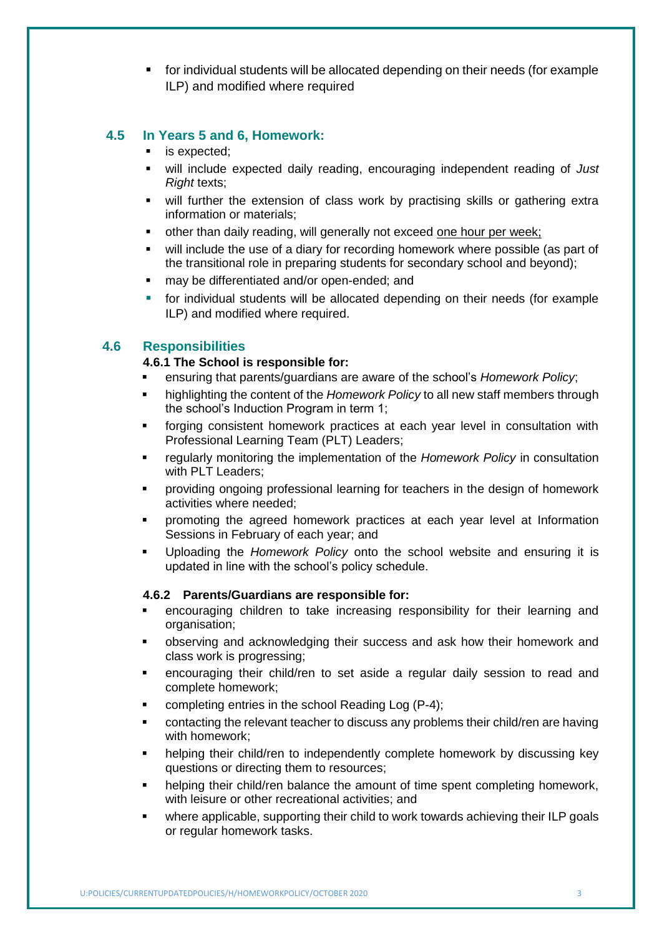for individual students will be allocated depending on their needs (for example ILP) and modified where required

### **4.5 In Years 5 and 6, Homework:**

- **is expected;**
- will include expected daily reading, encouraging independent reading of *Just Right* texts;
- will further the extension of class work by practising skills or gathering extra information or materials;
- other than daily reading, will generally not exceed one hour per week;
- will include the use of a diary for recording homework where possible (as part of the transitional role in preparing students for secondary school and beyond);
- may be differentiated and/or open-ended; and
- for individual students will be allocated depending on their needs (for example ILP) and modified where required.

# **4.6 Responsibilities**

#### **4.6.1 The School is responsible for:**

- ensuring that parents/guardians are aware of the school's *Homework Policy*;
- **highlighting the content of the** *Homework Policy* **to all new staff members through** the school's Induction Program in term 1;
- forging consistent homework practices at each year level in consultation with Professional Learning Team (PLT) Leaders;
- regularly monitoring the implementation of the *Homework Policy* in consultation with PLT Leaders;
- providing ongoing professional learning for teachers in the design of homework activities where needed;
- promoting the agreed homework practices at each year level at Information Sessions in February of each year; and
- Uploading the *Homework Policy* onto the school website and ensuring it is updated in line with the school's policy schedule.

#### **4.6.2 Parents/Guardians are responsible for:**

- encouraging children to take increasing responsibility for their learning and organisation;
- observing and acknowledging their success and ask how their homework and class work is progressing;
- encouraging their child/ren to set aside a regular daily session to read and complete homework;
- completing entries in the school Reading Log (P-4);
- contacting the relevant teacher to discuss any problems their child/ren are having with homework;
- helping their child/ren to independently complete homework by discussing key questions or directing them to resources;
- helping their child/ren balance the amount of time spent completing homework, with leisure or other recreational activities; and
- where applicable, supporting their child to work towards achieving their ILP goals or regular homework tasks.